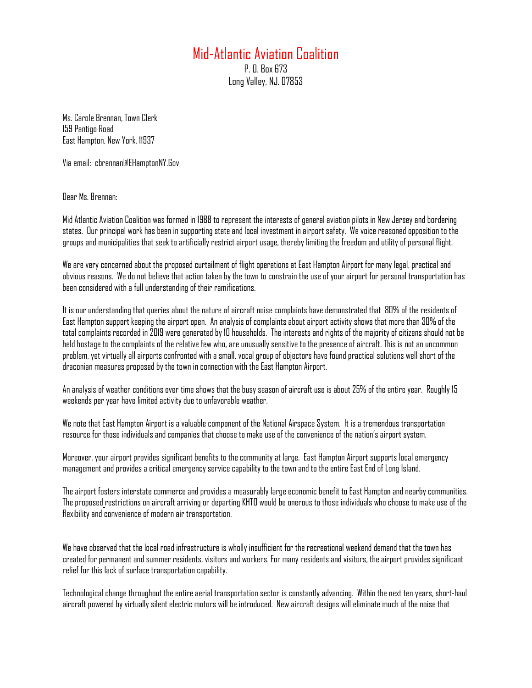## Mid-Atlantic Aviation Coalition

P. O. Box 673 Long Valley, NJ. 07853

Ms. Carole Brennan, Town Clerk 159 Pantigo Road East Hampton, New York. 11937

Via email: cbrennan@EHamptonNY.Gov

Dear Ms. Brennan:

Mid Atlantic Aviation Coalition was formed in 1988 to represent the interests of general aviation pilots in New Jersey and bordering states. Our principal work has been in supporting state and local investment in airport safety. We voice reasoned opposition to the groups and municipalities that seek to artificially restrict airport usage, thereby limiting the freedom and utility of personal flight.

We are very concerned about the proposed curtailment of flight operations at East Hampton Airport for many legal, practical and obvious reasons. We do not believe that action taken by the town to constrain the use of your airport for personal transportation has been considered with a full understanding of their ramifications.

It is our understanding that queries about the nature of aircraft noise complaints have demonstrated that 80% of the residents of East Hampton support keeping the airport open. An analysis of complaints about airport activity shows that more than 30% of the total complaints recorded in 2019 were generated by 10 households. The interests and rights of the majority of citizens should not be held hostage to the complaints of the relative few who, are unusually sensitive to the presence of aircraft. This is not an uncommon problem, yet virtually all airports confronted with a small, vocal group of objectors have found practical solutions well short of the draconian measures proposed by the town in connection with the East Hampton Airport.

An analysis of weather conditions over time shows that the busy season of aircraft use is about 25% of the entire year. Roughly 15 weekends per year have limited activity due to unfavorable weather.

We note that East Hampton Airport is a valuable component of the National Airspace System. It is a tremendous transportation resource for those individuals and companies that choose to make use of the convenience of the nation's airport system.

Moreover, your airport provides significant benefits to the community at large. East Hampton Airport supports local emergency management and provides a critical emergency service capability to the town and to the entire East End of Long Island.

The airport fosters interstate commerce and provides a measurably large economic benefit to East Hampton and nearby communities. The proposed restrictions on aircraft arriving or departing KHTO would be onerous to those individuals who choose to make use of the flexibility and convenience of modern air transportation.

We have observed that the local road infrastructure is wholly insufficient for the recreational weekend demand that the town has created for permanent and summer residents, visitors and workers. For many residents and visitors, the airport provides significant relief for this lack of surface transportation capability.

Technological change throughout the entire aerial transportation sector is constantly advancing. Within the next ten years, short-haul aircraft powered by virtually silent electric motors will be introduced. New aircraft designs will eliminate much of the noise that